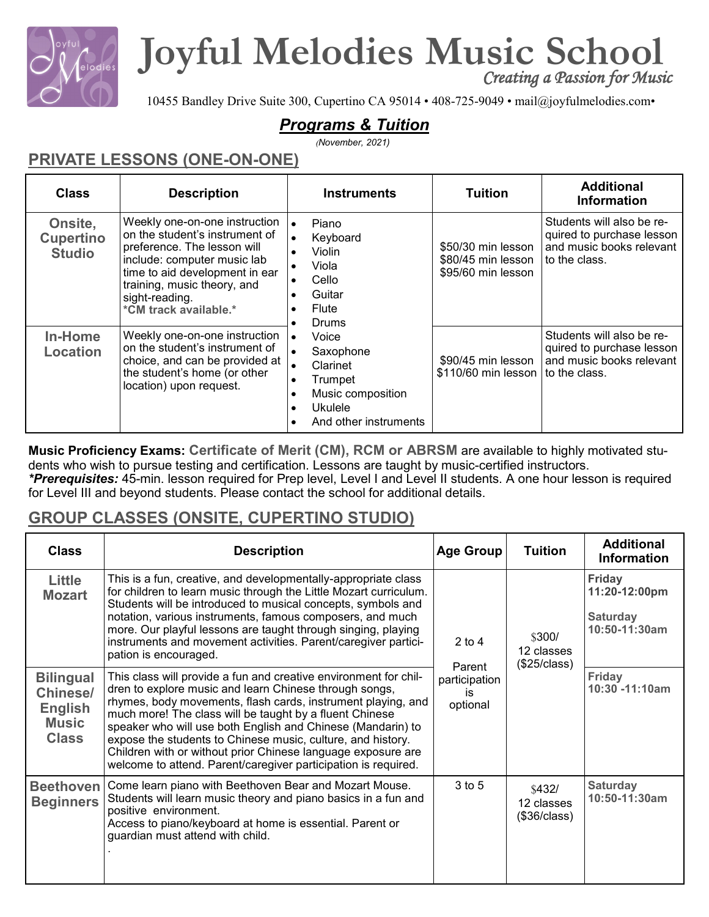

## **Joyful Melodies Music School**

*Creating a Passion for Music* 

10455 Bandley Drive Suite 300, Cupertino CA 95014 • 408-725-9049 • mail@joyfulmelodies.com•

## *Programs & Tuition*

(*November, 2021)*

## **PRIVATE LESSONS (ONE-ON-ONE)**

| <b>Class</b>                                 | <b>Description</b>                                                                                                                                                                                                                        | <b>Instruments</b>                                                                                                                                                                                                                                                                             | <b>Tuition</b>                            | <b>Additional</b><br><b>Information</b>                                                             |                                                                |                                                                                                     |
|----------------------------------------------|-------------------------------------------------------------------------------------------------------------------------------------------------------------------------------------------------------------------------------------------|------------------------------------------------------------------------------------------------------------------------------------------------------------------------------------------------------------------------------------------------------------------------------------------------|-------------------------------------------|-----------------------------------------------------------------------------------------------------|----------------------------------------------------------------|-----------------------------------------------------------------------------------------------------|
| Onsite,<br><b>Cupertino</b><br><b>Studio</b> | Weekly one-on-one instruction<br>on the student's instrument of<br>preference. The lesson will<br>include: computer music lab<br>time to aid development in ear<br>training, music theory, and<br>sight-reading.<br>*CM track available.* | Piano<br>$\bullet$<br>Keyboard<br>$\bullet$<br>Violin<br>$\bullet$<br>Viola<br>Cello<br>Guitar<br>Flute<br>$\bullet$<br><b>Drums</b><br>Voice<br>$\bullet$<br>Saxophone<br>$\bullet$<br>Clarinet<br>Trumpet<br>$\bullet$<br>Music composition<br>Ukulele<br>$\bullet$<br>And other instruments |                                           |                                                                                                     | \$50/30 min lesson<br>\$80/45 min lesson<br>\$95/60 min lesson | Students will also be re-<br>quired to purchase lesson<br>and music books relevant<br>to the class. |
| In-Home<br>Location                          | Weekly one-on-one instruction<br>on the student's instrument of<br>choice, and can be provided at<br>the student's home (or other<br>location) upon request.                                                                              |                                                                                                                                                                                                                                                                                                | \$90/45 min lesson<br>\$110/60 min lesson | Students will also be re-<br>quired to purchase lesson<br>and music books relevant<br>to the class. |                                                                |                                                                                                     |

**Music Proficiency Exams: Certificate of Merit (CM), RCM or ABRSM** are available to highly motivated students who wish to pursue testing and certification. Lessons are taught by music-certified instructors.

*\*Prerequisites:* 45-min. lesson required for Prep level, Level I and Level II students. A one hour lesson is required for Level III and beyond students. Please contact the school for additional details.

## **GROUP CLASSES (ONSITE, CUPERTINO STUDIO)**

| <b>Class</b>                                                                          | <b>Description</b>                                                                                                                                                                                                                                                                                                                                                                                                                                                                                                    | <b>Age Group</b>                | <b>Tuition</b>                       | <b>Additional</b><br><b>Information</b>                            |
|---------------------------------------------------------------------------------------|-----------------------------------------------------------------------------------------------------------------------------------------------------------------------------------------------------------------------------------------------------------------------------------------------------------------------------------------------------------------------------------------------------------------------------------------------------------------------------------------------------------------------|---------------------------------|--------------------------------------|--------------------------------------------------------------------|
| <b>Little</b><br><b>Mozart</b>                                                        | This is a fun, creative, and developmentally-appropriate class<br>for children to learn music through the Little Mozart curriculum.<br>Students will be introduced to musical concepts, symbols and<br>notation, various instruments, famous composers, and much<br>more. Our playful lessons are taught through singing, playing<br>instruments and movement activities. Parent/caregiver partici-<br>pation is encouraged.                                                                                          | $2$ to $4$<br>Parent            | \$300/<br>12 classes<br>(\$25/class) | <b>Friday</b><br>11:20-12:00pm<br><b>Saturday</b><br>10:50-11:30am |
| <b>Bilingual</b><br><b>Chinese/</b><br><b>English</b><br><b>Music</b><br><b>Class</b> | This class will provide a fun and creative environment for chil-<br>dren to explore music and learn Chinese through songs,<br>rhymes, body movements, flash cards, instrument playing, and<br>much more! The class will be taught by a fluent Chinese<br>speaker who will use both English and Chinese (Mandarin) to<br>expose the students to Chinese music, culture, and history.<br>Children with or without prior Chinese language exposure are<br>welcome to attend. Parent/caregiver participation is required. | participation<br>is<br>optional |                                      | <b>Friday</b><br>10:30 -11:10am                                    |
| <b>Beethoven</b><br><b>Beginners</b>                                                  | Come learn piano with Beethoven Bear and Mozart Mouse.<br>Students will learn music theory and piano basics in a fun and<br>positive environment.<br>Access to piano/keyboard at home is essential. Parent or<br>guardian must attend with child.                                                                                                                                                                                                                                                                     | 3 to 5                          | \$432/<br>12 classes<br>(\$36/class) | <b>Saturday</b><br>10:50-11:30am                                   |